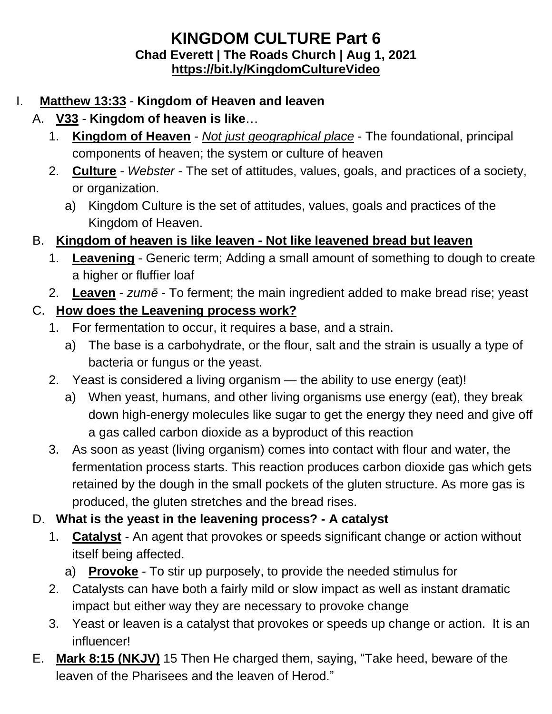### **KINGDOM CULTURE Part 6 Chad Everett | The Roads Church | Aug 1, 2021 <https://bit.ly/KingdomCultureVideo>**

### I. **Matthew 13:33** - **Kingdom of Heaven and leaven**

## A. **V33** - **Kingdom of heaven is like**…

- 1. **Kingdom of Heaven** *Not just geographical place* The foundational, principal components of heaven; the system or culture of heaven
- 2. **Culture** *Webster* The set of attitudes, values, goals, and practices of a society, or organization.
	- a) Kingdom Culture is the set of attitudes, values, goals and practices of the Kingdom of Heaven.

## B. **Kingdom of heaven is like leaven - Not like leavened bread but leaven**

- 1. **Leavening** Generic term; Adding a small amount of something to dough to create a higher or fluffier loaf
- 2. **Leaven** *zumē* To ferment; the main ingredient added to make bread rise; yeast

### C. **How does the Leavening process work?**

- 1. For fermentation to occur, it requires a base, and a strain.
	- a) The base is a carbohydrate, or the flour, salt and the strain is usually a type of bacteria or fungus or the yeast.
- 2. Yeast is considered a living organism the ability to use energy (eat)!
	- a) When yeast, humans, and other living organisms use energy (eat), they break down high-energy molecules like sugar to get the energy they need and give off a gas called carbon dioxide as a byproduct of this reaction
- 3. As soon as yeast (living organism) comes into contact with flour and water, the fermentation process starts. This reaction produces carbon dioxide gas which gets retained by the dough in the small pockets of the gluten structure. As more gas is produced, the gluten stretches and the bread rises.

## D. **What is the yeast in the leavening process? - A catalyst**

- 1. **Catalyst** An agent that provokes or speeds significant change or action without itself being affected.
	- a) **Provoke** To stir up purposely, to provide the needed stimulus for
- 2. Catalysts can have both a fairly mild or slow impact as well as instant dramatic impact but either way they are necessary to provoke change
- 3. Yeast or leaven is a catalyst that provokes or speeds up change or action. It is an influencer!
- E. **Mark 8:15 (NKJV)** 15 Then He charged them, saying, "Take heed, beware of the leaven of the Pharisees and the leaven of Herod."